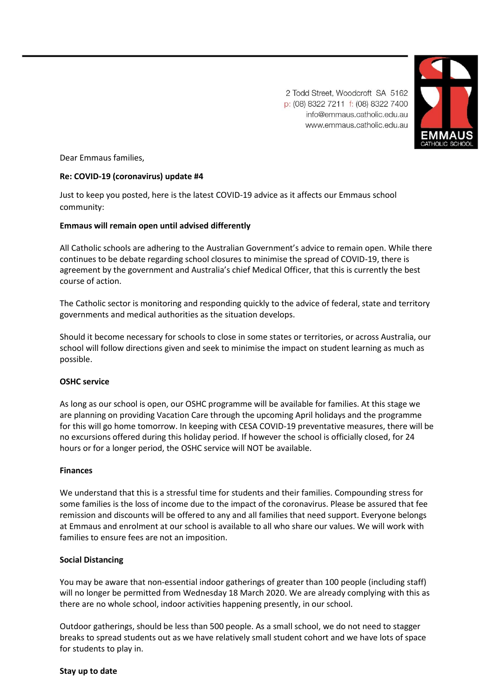2 Todd Street, Woodcroft SA 5162 p: (08) 8322 7211 f: (08) 8322 7400 info@emmaus.catholic.edu.au www.emmaus.catholic.edu.au



Dear Emmaus families,

# **Re: COVID-19 (coronavirus) update #4**

Just to keep you posted, here is the latest COVID-19 advice as it affects our Emmaus school community:

# **Emmaus will remain open until advised differently**

All Catholic schools are adhering to the Australian Government's advice to remain open. While there continues to be debate regarding school closures to minimise the spread of COVID-19, there is agreement by the government and Australia's chief Medical Officer, that this is currently the best course of action.

The Catholic sector is monitoring and responding quickly to the advice of federal, state and territory governments and medical authorities as the situation develops.

Should it become necessary for schools to close in some states or territories, or across Australia, our school will follow directions given and seek to minimise the impact on student learning as much as possible.

# **OSHC service**

As long as our school is open, our OSHC programme will be available for families. At this stage we are planning on providing Vacation Care through the upcoming April holidays and the programme for this will go home tomorrow. In keeping with CESA COVID-19 preventative measures, there will be no excursions offered during this holiday period. If however the school is officially closed, for 24 hours or for a longer period, the OSHC service will NOT be available.

# **Finances**

We understand that this is a stressful time for students and their families. Compounding stress for some families is the loss of income due to the impact of the coronavirus. Please be assured that fee remission and discounts will be offered to any and all families that need support. Everyone belongs at Emmaus and enrolment at our school is available to all who share our values. We will work with families to ensure fees are not an imposition.

# **Social Distancing**

You may be aware that non-essential indoor gatherings of greater than 100 people (including staff) will no longer be permitted from Wednesday 18 March 2020. We are already complying with this as there are no whole school, indoor activities happening presently, in our school.

Outdoor gatherings, should be less than 500 people. As a small school, we do not need to stagger breaks to spread students out as we have relatively small student cohort and we have lots of space for students to play in.